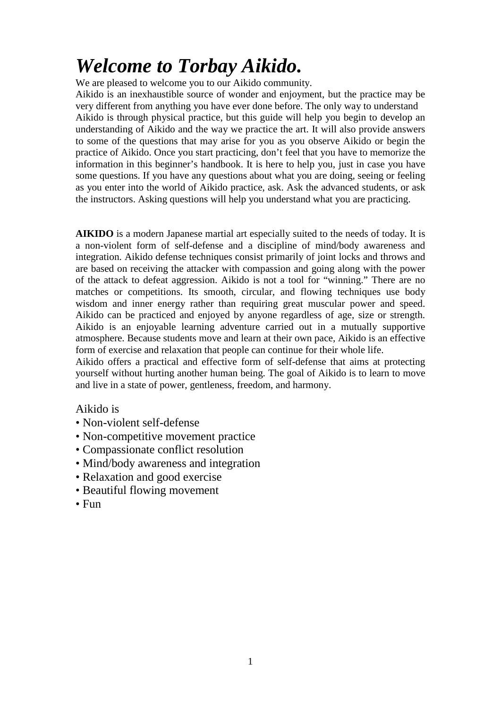# *Welcome to Torbay Aikido.*

We are pleased to welcome you to our Aikido community.

Aikido is an inexhaustible source of wonder and enjoyment, but the practice may be very different from anything you have ever done before. The only way to understand Aikido is through physical practice, but this guide will help you begin to develop an understanding of Aikido and the way we practice the art. It will also provide answers to some of the questions that may arise for you as you observe Aikido or begin the practice of Aikido. Once you start practicing, don't feel that you have to memorize the information in this beginner's handbook. It is here to help you, just in case you have some questions. If you have any questions about what you are doing, seeing or feeling as you enter into the world of Aikido practice, ask. Ask the advanced students, or ask the instructors. Asking questions will help you understand what you are practicing.

**AIKIDO** is a modern Japanese martial art especially suited to the needs of today. It is a non-violent form of self-defense and a discipline of mind/body awareness and integration. Aikido defense techniques consist primarily of joint locks and throws and are based on receiving the attacker with compassion and going along with the power of the attack to defeat aggression. Aikido is not a tool for "winning." There are no matches or competitions. Its smooth, circular, and flowing techniques use body wisdom and inner energy rather than requiring great muscular power and speed. Aikido can be practiced and enjoyed by anyone regardless of age, size or strength. Aikido is an enjoyable learning adventure carried out in a mutually supportive atmosphere. Because students move and learn at their own pace, Aikido is an effective form of exercise and relaxation that people can continue for their whole life.

Aikido offers a practical and effective form of self-defense that aims at protecting yourself without hurting another human being. The goal of Aikido is to learn to move and live in a state of power, gentleness, freedom, and harmony.

### Aikido is

- Non-violent self-defense
- Non-competitive movement practice
- Compassionate conflict resolution
- Mind/body awareness and integration
- Relaxation and good exercise
- Beautiful flowing movement
- Fun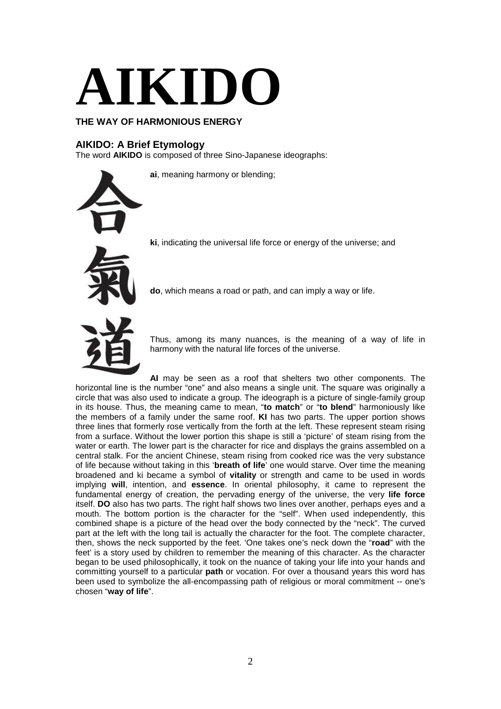

### **THE WAY OF HARMONIOUS ENERGY**

### **AIKIDO: A Brief Etymology**

The word **AIKIDO** is composed of three Sino-Japanese ideographs:

**ai**, meaning harmony or blending;



**ki**, indicating the universal life force or energy of the universe; and

**do**, which means a road or path, and can imply a way or life.



Thus, among its many nuances, is the meaning of a way of life in harmony with the natural life forces of the universe.

**AI** may be seen as a roof that shelters two other components. The horizontal line is the number "one" and also means a single unit. The square was originally a circle that was also used to indicate a group. The ideograph is a picture of single-family group in its house. Thus, the meaning came to mean, "**to match**" or "**to blend**" harmoniously like the members of a family under the same roof. **KI** has two parts. The upper portion shows three lines that formerly rose vertically from the forth at the left. These represent steam rising from a surface. Without the lower portion this shape is still a 'picture' of steam rising from the water or earth. The lower part is the character for rice and displays the grains assembled on a central stalk. For the ancient Chinese, steam rising from cooked rice was the very substance of life because without taking in this '**breath of life**' one would starve. Over time the meaning broadened and ki became a symbol of **vitality** or strength and came to be used in words implying **will**, intention, and **essence**. In oriental philosophy, it came to represent the fundamental energy of creation, the pervading energy of the universe, the very **life force**  itself. **DO** also has two parts. The right half shows two lines over another, perhaps eyes and a mouth. The bottom portion is the character for the "self". When used independently, this combined shape is a picture of the head over the body connected by the "neck". The curved part at the left with the long tail is actually the character for the foot. The complete character, then, shows the neck supported by the feet. 'One takes one's neck down the "**road**" with the feet' is a story used by children to remember the meaning of this character. As the character began to be used philosophically, it took on the nuance of taking your life into your hands and committing yourself to a particular **path** or vocation. For over a thousand years this word has been used to symbolize the all-encompassing path of religious or moral commitment -- one's chosen "**way of life**".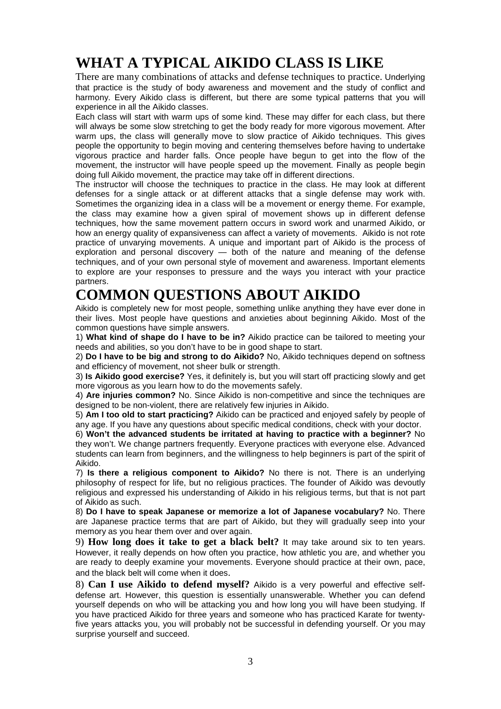# **WHAT A TYPICAL AIKIDO CLASS IS LIKE**

There are many combinations of attacks and defense techniques to practice. Underlying that practice is the study of body awareness and movement and the study of conflict and harmony. Every Aikido class is different, but there are some typical patterns that you will experience in all the Aikido classes.

Each class will start with warm ups of some kind. These may differ for each class, but there will always be some slow stretching to get the body ready for more vigorous movement. After warm ups, the class will generally move to slow practice of Aikido techniques. This gives people the opportunity to begin moving and centering themselves before having to undertake vigorous practice and harder falls. Once people have begun to get into the flow of the movement, the instructor will have people speed up the movement. Finally as people begin doing full Aikido movement, the practice may take off in different directions.

The instructor will choose the techniques to practice in the class. He may look at different defenses for a single attack or at different attacks that a single defense may work with. Sometimes the organizing idea in a class will be a movement or energy theme. For example, the class may examine how a given spiral of movement shows up in different defense techniques, how the same movement pattern occurs in sword work and unarmed Aikido, or how an energy quality of expansiveness can affect a variety of movements. Aikido is not rote practice of unvarying movements. A unique and important part of Aikido is the process of exploration and personal discovery — both of the nature and meaning of the defense techniques, and of your own personal style of movement and awareness. Important elements to explore are your responses to pressure and the ways you interact with your practice partners.

# **COMMON QUESTIONS ABOUT AIKIDO**

Aikido is completely new for most people, something unlike anything they have ever done in their lives. Most people have questions and anxieties about beginning Aikido. Most of the common questions have simple answers.

1) **What kind of shape do I have to be in?** Aikido practice can be tailored to meeting your needs and abilities, so you don't have to be in good shape to start.

2) **Do I have to be big and strong to do Aikido?** No, Aikido techniques depend on softness and efficiency of movement, not sheer bulk or strength.

3) **Is Aikido good exercise?** Yes, it definitely is, but you will start off practicing slowly and get more vigorous as you learn how to do the movements safely.

4) **Are injuries common?** No. Since Aikido is non-competitive and since the techniques are designed to be non-violent, there are relatively few injuries in Aikido.

5) **Am I too old to start practicing?** Aikido can be practiced and enjoyed safely by people of any age. If you have any questions about specific medical conditions, check with your doctor.

6) **Won't the advanced students be irritated at having to practice with a beginner?** No they won't. We change partners frequently. Everyone practices with everyone else. Advanced students can learn from beginners, and the willingness to help beginners is part of the spirit of Aikido.

7) **Is there a religious component to Aikido?** No there is not. There is an underlying philosophy of respect for life, but no religious practices. The founder of Aikido was devoutly religious and expressed his understanding of Aikido in his religious terms, but that is not part of Aikido as such.

8) **Do I have to speak Japanese or memorize a lot of Japanese vocabulary?** No. There are Japanese practice terms that are part of Aikido, but they will gradually seep into your memory as you hear them over and over again.

9) **How long does it take to get a black belt?** It may take around six to ten years. However, it really depends on how often you practice, how athletic you are, and whether you are ready to deeply examine your movements. Everyone should practice at their own, pace, and the black belt will come when it does.

8) **Can I use Aikido to defend myself?** Aikido is a very powerful and effective selfdefense art. However, this question is essentially unanswerable. Whether you can defend yourself depends on who will be attacking you and how long you will have been studying. If you have practiced Aikido for three years and someone who has practiced Karate for twentyfive years attacks you, you will probably not be successful in defending yourself. Or you may surprise yourself and succeed.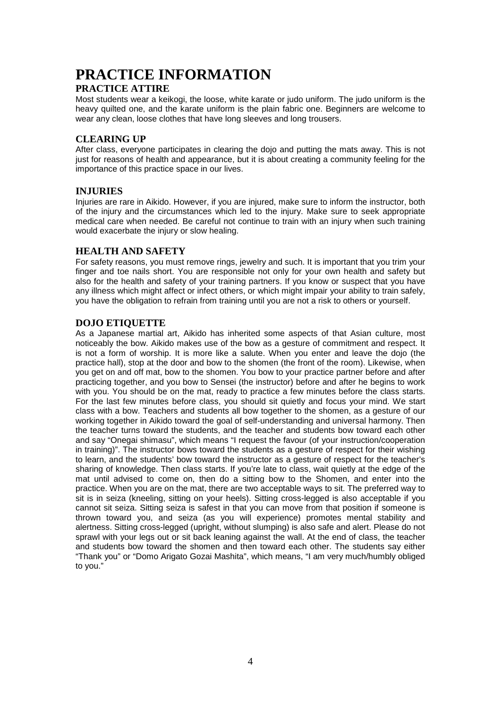### **PRACTICE INFORMATION**

### **PRACTICE ATTIRE**

Most students wear a keikogi, the loose, white karate or judo uniform. The judo uniform is the heavy quilted one, and the karate uniform is the plain fabric one. Beginners are welcome to wear any clean, loose clothes that have long sleeves and long trousers.

### **CLEARING UP**

After class, everyone participates in clearing the dojo and putting the mats away. This is not just for reasons of health and appearance, but it is about creating a community feeling for the importance of this practice space in our lives.

#### **INJURIES**

Injuries are rare in Aikido. However, if you are injured, make sure to inform the instructor, both of the injury and the circumstances which led to the injury. Make sure to seek appropriate medical care when needed. Be careful not continue to train with an injury when such training would exacerbate the injury or slow healing.

### **HEALTH AND SAFETY**

For safety reasons, you must remove rings, jewelry and such. It is important that you trim your finger and toe nails short. You are responsible not only for your own health and safety but also for the health and safety of your training partners. If you know or suspect that you have any illness which might affect or infect others, or which might impair your ability to train safely, you have the obligation to refrain from training until you are not a risk to others or yourself.

### **DOJO ETIQUETTE**

As a Japanese martial art, Aikido has inherited some aspects of that Asian culture, most noticeably the bow. Aikido makes use of the bow as a gesture of commitment and respect. It is not a form of worship. It is more like a salute. When you enter and leave the dojo (the practice hall), stop at the door and bow to the shomen (the front of the room). Likewise, when you get on and off mat, bow to the shomen. You bow to your practice partner before and after practicing together, and you bow to Sensei (the instructor) before and after he begins to work with you. You should be on the mat, ready to practice a few minutes before the class starts. For the last few minutes before class, you should sit quietly and focus your mind. We start class with a bow. Teachers and students all bow together to the shomen, as a gesture of our working together in Aikido toward the goal of self-understanding and universal harmony. Then the teacher turns toward the students, and the teacher and students bow toward each other and say "Onegai shimasu", which means "I request the favour (of your instruction/cooperation in training)". The instructor bows toward the students as a gesture of respect for their wishing to learn, and the students' bow toward the instructor as a gesture of respect for the teacher's sharing of knowledge. Then class starts. If you're late to class, wait quietly at the edge of the mat until advised to come on, then do a sitting bow to the Shomen, and enter into the practice. When you are on the mat, there are two acceptable ways to sit. The preferred way to sit is in seiza (kneeling, sitting on your heels). Sitting cross-legged is also acceptable if you cannot sit seiza. Sitting seiza is safest in that you can move from that position if someone is thrown toward you, and seiza (as you will experience) promotes mental stability and alertness. Sitting cross-legged (upright, without slumping) is also safe and alert. Please do not sprawl with your legs out or sit back leaning against the wall. At the end of class, the teacher and students bow toward the shomen and then toward each other. The students say either "Thank you" or "Domo Arigato Gozai Mashita", which means, "I am very much/humbly obliged to you."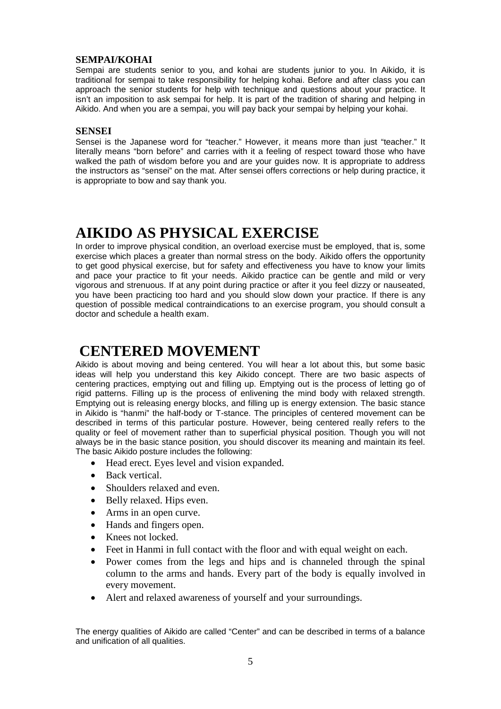#### **SEMPAI/KOHAI**

Sempai are students senior to you, and kohai are students junior to you. In Aikido, it is traditional for sempai to take responsibility for helping kohai. Before and after class you can approach the senior students for help with technique and questions about your practice. It isn't an imposition to ask sempai for help. It is part of the tradition of sharing and helping in Aikido. And when you are a sempai, you will pay back your sempai by helping your kohai.

#### **SENSEI**

Sensei is the Japanese word for "teacher." However, it means more than just "teacher." It literally means "born before" and carries with it a feeling of respect toward those who have walked the path of wisdom before you and are your guides now. It is appropriate to address the instructors as "sensei" on the mat. After sensei offers corrections or help during practice, it is appropriate to bow and say thank you.

### **AIKIDO AS PHYSICAL EXERCISE**

In order to improve physical condition, an overload exercise must be employed, that is, some exercise which places a greater than normal stress on the body. Aikido offers the opportunity to get good physical exercise, but for safety and effectiveness you have to know your limits and pace your practice to fit your needs. Aikido practice can be gentle and mild or very vigorous and strenuous. If at any point during practice or after it you feel dizzy or nauseated, you have been practicing too hard and you should slow down your practice. If there is any question of possible medical contraindications to an exercise program, you should consult a doctor and schedule a health exam.

### **CENTERED MOVEMENT**

Aikido is about moving and being centered. You will hear a lot about this, but some basic ideas will help you understand this key Aikido concept. There are two basic aspects of centering practices, emptying out and filling up. Emptying out is the process of letting go of rigid patterns. Filling up is the process of enlivening the mind body with relaxed strength. Emptying out is releasing energy blocks, and filling up is energy extension. The basic stance in Aikido is "hanmi" the half-body or T-stance. The principles of centered movement can be described in terms of this particular posture. However, being centered really refers to the quality or feel of movement rather than to superficial physical position. Though you will not always be in the basic stance position, you should discover its meaning and maintain its feel. The basic Aikido posture includes the following:

- Head erect. Eyes level and vision expanded.
- Back vertical.
- Shoulders relaxed and even.
- Belly relaxed. Hips even.
- Arms in an open curve.
- Hands and fingers open.
- Knees not locked.
- Feet in Hanmi in full contact with the floor and with equal weight on each.
- Power comes from the legs and hips and is channeled through the spinal column to the arms and hands. Every part of the body is equally involved in every movement.
- Alert and relaxed awareness of yourself and your surroundings.

The energy qualities of Aikido are called "Center" and can be described in terms of a balance and unification of all qualities.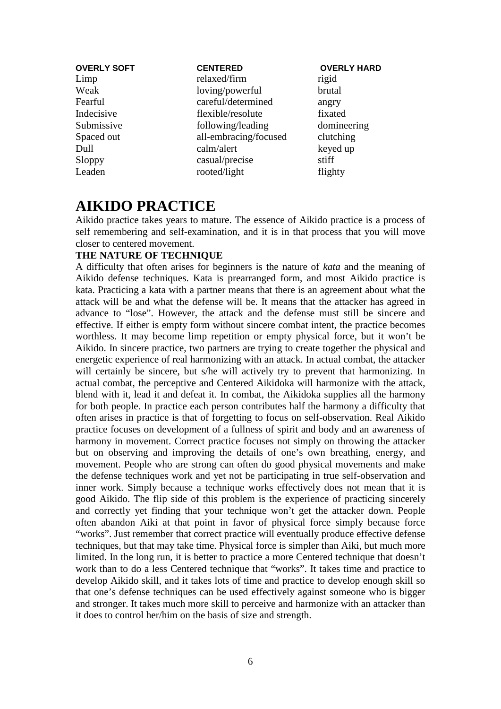| <b>OVERLY SOFT</b> | <b>CENTERED</b>       | <b>OVERLY HARD</b> |
|--------------------|-----------------------|--------------------|
| Limp               | relaxed/firm          | rigid              |
| Weak               | loving/powerful       | brutal             |
| Fearful            | careful/determined    | angry              |
| Indecisive         | flexible/resolute     | fixated            |
| Submissive         | following/leading     | domineering        |
| Spaced out         | all-embracing/focused | clutching          |
| Dull               | calm/alert            | keyed up           |
| Sloppy             | casual/precise        | stiff              |
| Leaden             | rooted/light          | flighty            |

### **AIKIDO PRACTICE**

Aikido practice takes years to mature. The essence of Aikido practice is a process of self remembering and self-examination, and it is in that process that you will move closer to centered movement.

### **THE NATURE OF TECHNIQUE**

A difficulty that often arises for beginners is the nature of *kata* and the meaning of Aikido defense techniques. Kata is prearranged form, and most Aikido practice is kata. Practicing a kata with a partner means that there is an agreement about what the attack will be and what the defense will be. It means that the attacker has agreed in advance to "lose". However, the attack and the defense must still be sincere and effective. If either is empty form without sincere combat intent, the practice becomes worthless. It may become limp repetition or empty physical force, but it won't be Aikido. In sincere practice, two partners are trying to create together the physical and energetic experience of real harmonizing with an attack. In actual combat, the attacker will certainly be sincere, but s/he will actively try to prevent that harmonizing. In actual combat, the perceptive and Centered Aikidoka will harmonize with the attack, blend with it, lead it and defeat it. In combat, the Aikidoka supplies all the harmony for both people. In practice each person contributes half the harmony a difficulty that often arises in practice is that of forgetting to focus on self-observation. Real Aikido practice focuses on development of a fullness of spirit and body and an awareness of harmony in movement. Correct practice focuses not simply on throwing the attacker but on observing and improving the details of one's own breathing, energy, and movement. People who are strong can often do good physical movements and make the defense techniques work and yet not be participating in true self-observation and inner work. Simply because a technique works effectively does not mean that it is good Aikido. The flip side of this problem is the experience of practicing sincerely and correctly yet finding that your technique won't get the attacker down. People often abandon Aiki at that point in favor of physical force simply because force "works". Just remember that correct practice will eventually produce effective defense techniques, but that may take time. Physical force is simpler than Aiki, but much more limited. In the long run, it is better to practice a more Centered technique that doesn't work than to do a less Centered technique that "works". It takes time and practice to develop Aikido skill, and it takes lots of time and practice to develop enough skill so that one's defense techniques can be used effectively against someone who is bigger and stronger. It takes much more skill to perceive and harmonize with an attacker than it does to control her/him on the basis of size and strength.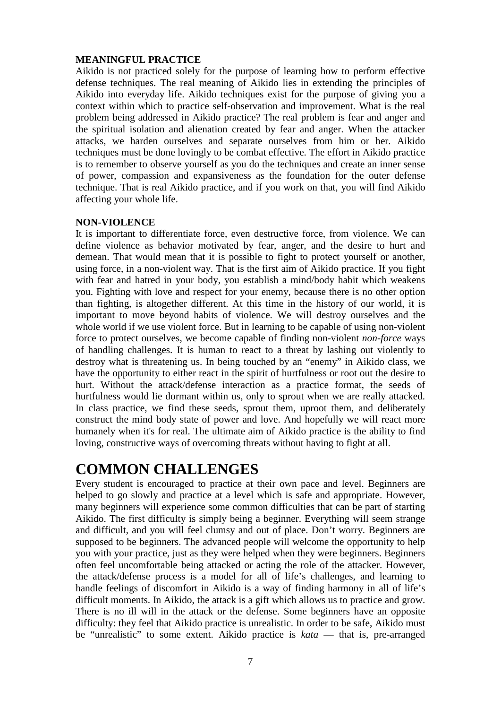### **MEANINGFUL PRACTICE**

Aikido is not practiced solely for the purpose of learning how to perform effective defense techniques. The real meaning of Aikido lies in extending the principles of Aikido into everyday life. Aikido techniques exist for the purpose of giving you a context within which to practice self-observation and improvement. What is the real problem being addressed in Aikido practice? The real problem is fear and anger and the spiritual isolation and alienation created by fear and anger. When the attacker attacks, we harden ourselves and separate ourselves from him or her. Aikido techniques must be done lovingly to be combat effective. The effort in Aikido practice is to remember to observe yourself as you do the techniques and create an inner sense of power, compassion and expansiveness as the foundation for the outer defense technique. That is real Aikido practice, and if you work on that, you will find Aikido affecting your whole life.

#### **NON-VIOLENCE**

It is important to differentiate force, even destructive force, from violence. We can define violence as behavior motivated by fear, anger, and the desire to hurt and demean. That would mean that it is possible to fight to protect yourself or another, using force, in a non-violent way. That is the first aim of Aikido practice. If you fight with fear and hatred in your body, you establish a mind/body habit which weakens you. Fighting with love and respect for your enemy, because there is no other option than fighting, is altogether different. At this time in the history of our world, it is important to move beyond habits of violence. We will destroy ourselves and the whole world if we use violent force. But in learning to be capable of using non-violent force to protect ourselves, we become capable of finding non-violent *non-force* ways of handling challenges. It is human to react to a threat by lashing out violently to destroy what is threatening us. In being touched by an "enemy" in Aikido class, we have the opportunity to either react in the spirit of hurtfulness or root out the desire to hurt. Without the attack/defense interaction as a practice format, the seeds of hurtfulness would lie dormant within us, only to sprout when we are really attacked. In class practice, we find these seeds, sprout them, uproot them, and deliberately construct the mind body state of power and love. And hopefully we will react more humanely when it's for real. The ultimate aim of Aikido practice is the ability to find loving, constructive ways of overcoming threats without having to fight at all.

### **COMMON CHALLENGES**

Every student is encouraged to practice at their own pace and level. Beginners are helped to go slowly and practice at a level which is safe and appropriate. However, many beginners will experience some common difficulties that can be part of starting Aikido. The first difficulty is simply being a beginner. Everything will seem strange and difficult, and you will feel clumsy and out of place. Don't worry. Beginners are supposed to be beginners. The advanced people will welcome the opportunity to help you with your practice, just as they were helped when they were beginners. Beginners often feel uncomfortable being attacked or acting the role of the attacker. However, the attack/defense process is a model for all of life's challenges, and learning to handle feelings of discomfort in Aikido is a way of finding harmony in all of life's difficult moments. In Aikido, the attack is a gift which allows us to practice and grow. There is no ill will in the attack or the defense. Some beginners have an opposite difficulty: they feel that Aikido practice is unrealistic. In order to be safe, Aikido must be "unrealistic" to some extent. Aikido practice is *kata* — that is, pre-arranged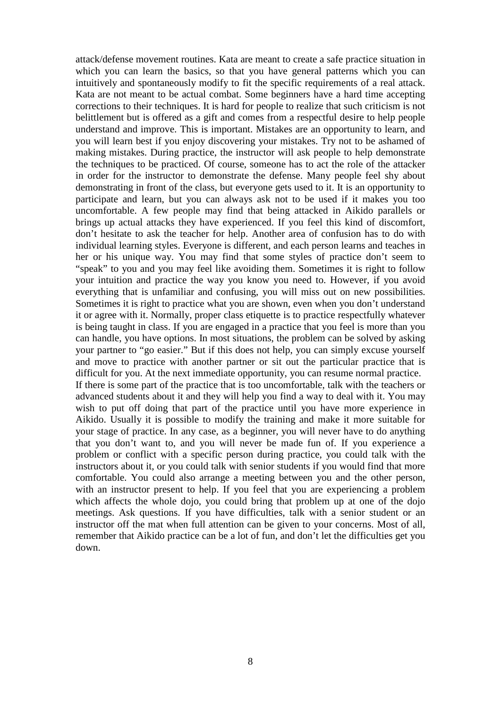attack/defense movement routines. Kata are meant to create a safe practice situation in which you can learn the basics, so that you have general patterns which you can intuitively and spontaneously modify to fit the specific requirements of a real attack. Kata are not meant to be actual combat. Some beginners have a hard time accepting corrections to their techniques. It is hard for people to realize that such criticism is not belittlement but is offered as a gift and comes from a respectful desire to help people understand and improve. This is important. Mistakes are an opportunity to learn, and you will learn best if you enjoy discovering your mistakes. Try not to be ashamed of making mistakes. During practice, the instructor will ask people to help demonstrate the techniques to be practiced. Of course, someone has to act the role of the attacker in order for the instructor to demonstrate the defense. Many people feel shy about demonstrating in front of the class, but everyone gets used to it. It is an opportunity to participate and learn, but you can always ask not to be used if it makes you too uncomfortable. A few people may find that being attacked in Aikido parallels or brings up actual attacks they have experienced. If you feel this kind of discomfort, don't hesitate to ask the teacher for help. Another area of confusion has to do with individual learning styles. Everyone is different, and each person learns and teaches in her or his unique way. You may find that some styles of practice don't seem to "speak" to you and you may feel like avoiding them. Sometimes it is right to follow your intuition and practice the way you know you need to. However, if you avoid everything that is unfamiliar and confusing, you will miss out on new possibilities. Sometimes it is right to practice what you are shown, even when you don't understand it or agree with it. Normally, proper class etiquette is to practice respectfully whatever is being taught in class. If you are engaged in a practice that you feel is more than you can handle, you have options. In most situations, the problem can be solved by asking your partner to "go easier." But if this does not help, you can simply excuse yourself and move to practice with another partner or sit out the particular practice that is difficult for you. At the next immediate opportunity, you can resume normal practice. If there is some part of the practice that is too uncomfortable, talk with the teachers or advanced students about it and they will help you find a way to deal with it. You may wish to put off doing that part of the practice until you have more experience in Aikido. Usually it is possible to modify the training and make it more suitable for your stage of practice. In any case, as a beginner, you will never have to do anything that you don't want to, and you will never be made fun of. If you experience a problem or conflict with a specific person during practice, you could talk with the instructors about it, or you could talk with senior students if you would find that more comfortable. You could also arrange a meeting between you and the other person, with an instructor present to help. If you feel that you are experiencing a problem which affects the whole dojo, you could bring that problem up at one of the dojo meetings. Ask questions. If you have difficulties, talk with a senior student or an instructor off the mat when full attention can be given to your concerns. Most of all, remember that Aikido practice can be a lot of fun, and don't let the difficulties get you down.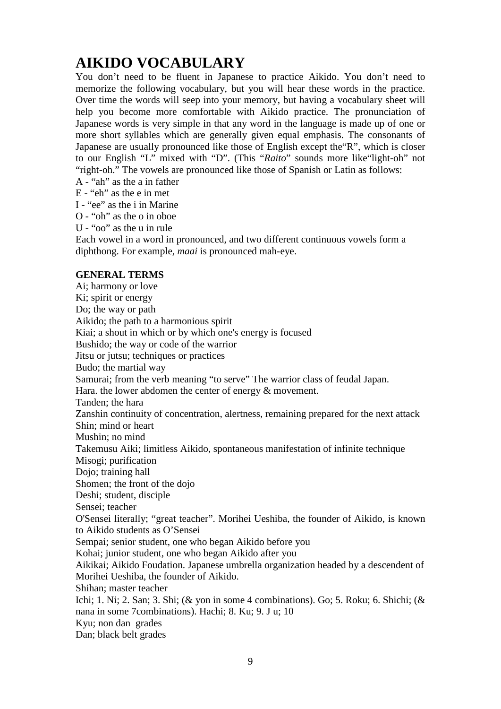# **AIKIDO VOCABULARY**

You don't need to be fluent in Japanese to practice Aikido. You don't need to memorize the following vocabulary, but you will hear these words in the practice. Over time the words will seep into your memory, but having a vocabulary sheet will help you become more comfortable with Aikido practice. The pronunciation of Japanese words is very simple in that any word in the language is made up of one or more short syllables which are generally given equal emphasis. The consonants of Japanese are usually pronounced like those of English except the"R", which is closer to our English "L" mixed with "D". (This "*Raito*" sounds more like"light-oh" not "right-oh." The vowels are pronounced like those of Spanish or Latin as follows:

A - "ah" as the a in father

E - "eh" as the e in met

I - "ee" as the i in Marine

O - "oh" as the o in oboe

U - "oo" as the u in rule

Each vowel in a word in pronounced, and two different continuous vowels form a diphthong. For example, *maai* is pronounced mah-eye.

### **GENERAL TERMS**

Ai; harmony or love Ki; spirit or energy Do; the way or path Aikido; the path to a harmonious spirit Kiai; a shout in which or by which one's energy is focused Bushido; the way or code of the warrior Jitsu or jutsu; techniques or practices Budo; the martial way Samurai; from the verb meaning "to serve" The warrior class of feudal Japan. Hara. the lower abdomen the center of energy & movement. Tanden; the hara Zanshin continuity of concentration, alertness, remaining prepared for the next attack Shin; mind or heart Mushin; no mind Takemusu Aiki; limitless Aikido, spontaneous manifestation of infinite technique Misogi; purification Dojo; training hall Shomen; the front of the dojo Deshi; student, disciple Sensei; teacher O'Sensei literally; "great teacher". Morihei Ueshiba, the founder of Aikido, is known to Aikido students as O'Sensei Sempai; senior student, one who began Aikido before you Kohai; junior student, one who began Aikido after you Aikikai; Aikido Foudation. Japanese umbrella organization headed by a descendent of Morihei Ueshiba, the founder of Aikido. Shihan; master teacher Ichi; 1. Ni; 2. San; 3. Shi; (& yon in some 4 combinations). Go; 5. Roku; 6. Shichi; (& nana in some 7combinations). Hachi; 8. Ku; 9. J u; 10 Kyu; non dan grades Dan; black belt grades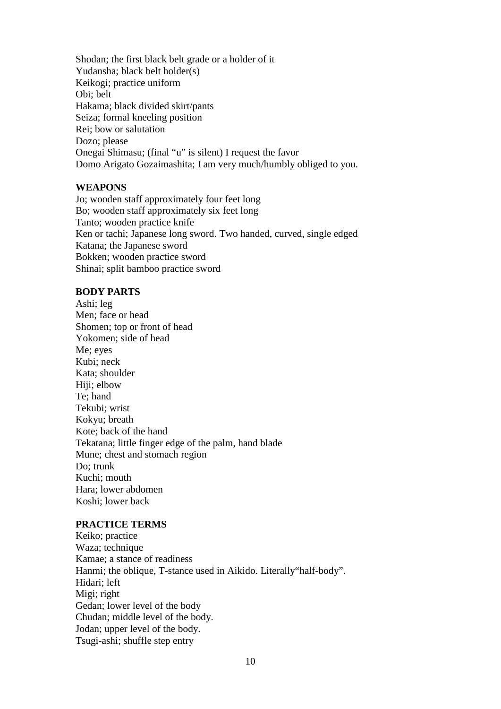Shodan; the first black belt grade or a holder of it Yudansha; black belt holder(s) Keikogi; practice uniform Obi; belt Hakama; black divided skirt/pants Seiza; formal kneeling position Rei; bow or salutation Dozo; please Onegai Shimasu; (final "u" is silent) I request the favor Domo Arigato Gozaimashita; I am very much/humbly obliged to you.

### **WEAPONS**

Jo; wooden staff approximately four feet long Bo; wooden staff approximately six feet long Tanto; wooden practice knife Ken or tachi; Japanese long sword. Two handed, curved, single edged Katana; the Japanese sword Bokken; wooden practice sword Shinai; split bamboo practice sword

### **BODY PARTS**

Ashi; leg Men; face or head Shomen; top or front of head Yokomen; side of head Me; eyes Kubi; neck Kata; shoulder Hiji; elbow Te; hand Tekubi; wrist Kokyu; breath Kote; back of the hand Tekatana; little finger edge of the palm, hand blade Mune; chest and stomach region Do; trunk Kuchi; mouth Hara; lower abdomen Koshi; lower back

### **PRACTICE TERMS**

Keiko; practice Waza; technique Kamae; a stance of readiness Hanmi; the oblique, T-stance used in Aikido. Literally"half-body". Hidari; left Migi; right Gedan; lower level of the body Chudan; middle level of the body. Jodan; upper level of the body. Tsugi-ashi; shuffle step entry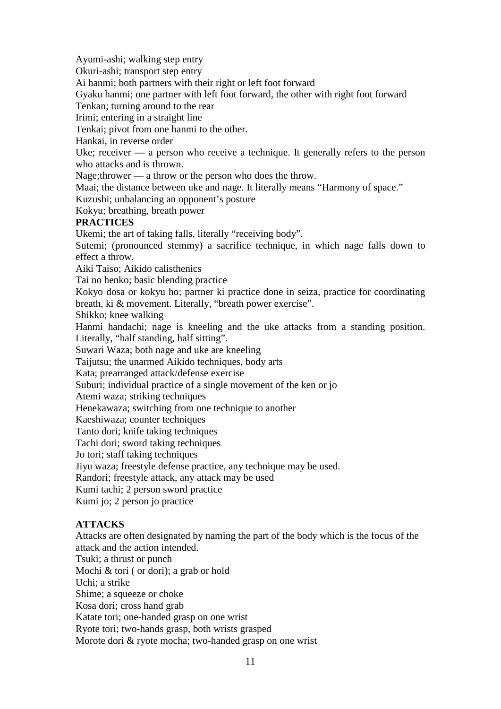Ayumi-ashi; walking step entry Okuri-ashi; transport step entry Ai hanmi; both partners with their right or left foot forward Gyaku hanmi; one partner with left foot forward, the other with right foot forward Tenkan; turning around to the rear Irimi; entering in a straight line Tenkai; pivot from one hanmi to the other. Hankai, in reverse order Uke; receiver — a person who receive a technique. It generally refers to the person who attacks and is thrown. Nage;thrower — a throw or the person who does the throw. Maai; the distance between uke and nage. It literally means "Harmony of space." Kuzushi; unbalancing an opponent's posture Kokyu; breathing, breath power **PRACTICES** Ukemi; the art of taking falls, literally "receiving body". Sutemi; (pronounced stemmy) a sacrifice technique, in which nage falls down to effect a throw. Aiki Taiso; Aikido calisthenics Tai no henko; basic blending practice Kokyo dosa or kokyu ho; partner ki practice done in seiza, practice for coordinating breath, ki & movement. Literally, "breath power exercise". Shikko; knee walking Hanmi handachi; nage is kneeling and the uke attacks from a standing position. Literally, "half standing, half sitting". Suwari Waza; both nage and uke are kneeling Taijutsu; the unarmed Aikido techniques, body arts Kata; prearranged attack/defense exercise Suburi; individual practice of a single movement of the ken or jo Atemi waza; striking techniques Henekawaza; switching from one technique to another Kaeshiwaza; counter techniques Tanto dori; knife taking techniques Tachi dori; sword taking techniques Jo tori; staff taking techniques Jiyu waza; freestyle defense practice, any technique may be used. Randori; freestyle attack, any attack may be used Kumi tachi; 2 person sword practice Kumi jo; 2 person jo practice **ATTACKS** Attacks are often designated by naming the part of the body which is the focus of the attack and the action intended. Tsuki; a thrust or punch Mochi & tori ( or dori); a grab or hold

Uchi; a strike

Shime; a squeeze or choke

Kosa dori; cross hand grab

Katate tori; one-handed grasp on one wrist

Ryote tori; two-hands grasp, both wrists grasped

Morote dori & ryote mocha; two-handed grasp on one wrist